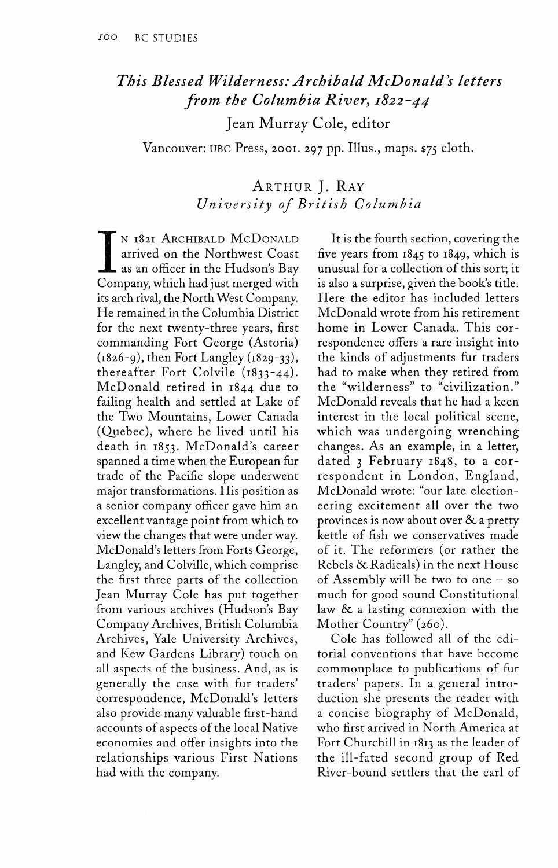## *This Blessed Wilderness: Archibald McDonald's letters from the Columbia River, 1822-44*

Jean Murray Cole, editor

Vancouver: UBC Press, 2001. 297 pp. Illus., maps. \$75 cloth.

## ARTHUR J. RAY *University of British Columbia*

IN 1821 ARCHIBALD MCDONALD<br>arrived on the Northwest Coast<br>as an officer in the Hudson's Bay<br>Company, which had just merged with N 1821 ARCHIBALD MCDONALD arrived on the Northwest Coast  $\mathsf L$  as an officer in the Hudson's Bay its arch rival, the North West Company. He remained in the Columbia District for the next twenty-three years, first commanding Fort George (Astoria)  $(1826-9)$ , then Fort Langley  $(1829-33)$ , thereafter Fort Colvile (1833-44). McDonald retired in 1844 due to failing health and settled at Lake of the Two Mountains, Lower Canada (Quebec), where he lived until his death in 1853. McDonald's career spanned a time when the European fur trade of the Pacific slope underwent major transformations. His position as a senior company officer gave him an excellent vantage point from which to view the changes that were under way. McDonald's letters from Forts George, Langley, and Colville, which comprise the first three parts of the collection Jean Murray Cole has put together from various archives (Hudson's Bay Company Archives, British Columbia Archives, Yale University Archives, and Kew Gardens Library) touch on all aspects of the business. And, as is generally the case with fur traders' correspondence, McDonald's letters also provide many valuable first-hand accounts of aspects of the local Native economies and offer insights into the relationships various First Nations had with the company.

It is the fourth section, covering the five years from 1845 to 1849, which is unusual for a collection of this sort; it is also a surprise, given the book's title. Here the editor has included letters McDonald wrote from his retirement home in Lower Canada. This correspondence offers a rare insight into the kinds of adjustments fur traders had to make when they retired from the "wilderness" to "civilization." McDonald reveals that he had a keen interest in the local political scene, which was undergoing wrenching changes. As an example, in a letter, dated 3 February 1848, to a correspondent in London, England, McDonald wrote: "our late electioneering excitement all over the two provinces is now about over *&c* a pretty kettle of fish we conservatives made of it. The reformers (or rather the Rebels & Radicals) in the next House of Assembly will be two to one  $-$  so much for good sound Constitutional law & a lasting connexion with the Mother Country" (260).

Cole has followed all of the editorial conventions that have become commonplace to publications of fur traders' papers. In a general introduction she presents the reader with a concise biography of McDonald, who first arrived in North America at Fort Churchill in 1813 as the leader of the ill-fated second group of Red River-bound settlers that the earl of